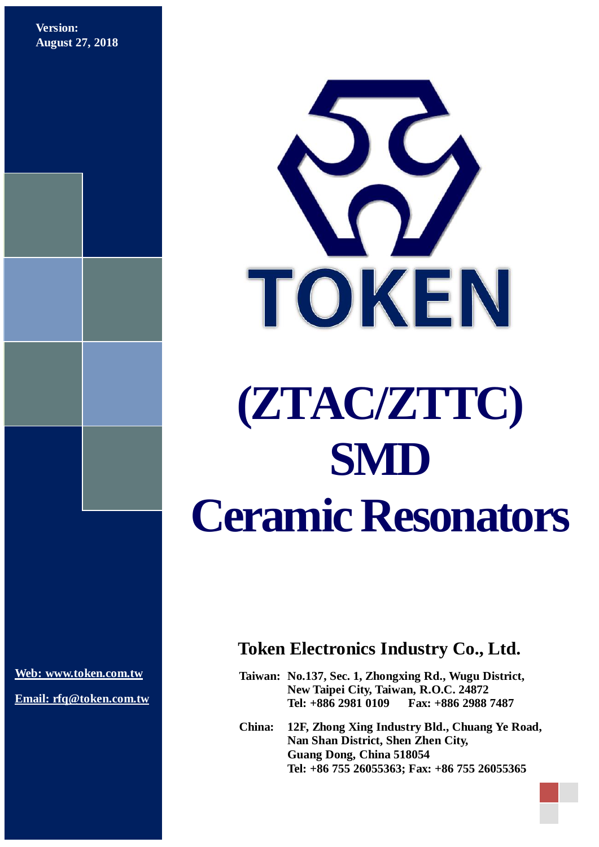**Version: August 27, 2018**



**[Web: www.token.com.tw](http://www.token.com.tw/)**

**Email: rfq@token.com.tw**

## **Token Electronics Industry Co., Ltd.**

**Taiwan: No.137, Sec. 1, Zhongxing Rd., Wugu District, New Taipei City, Taiwan, R.O.C. 24872 Tel: +886 2981 0109 Fax: +886 2988 7487**

**China: 12F, Zhong Xing Industry Bld., Chuang Ye Road, Nan Shan District, Shen Zhen City, Guang Dong, China 518054 Tel: +86 755 26055363; Fax: +86 755 26055365**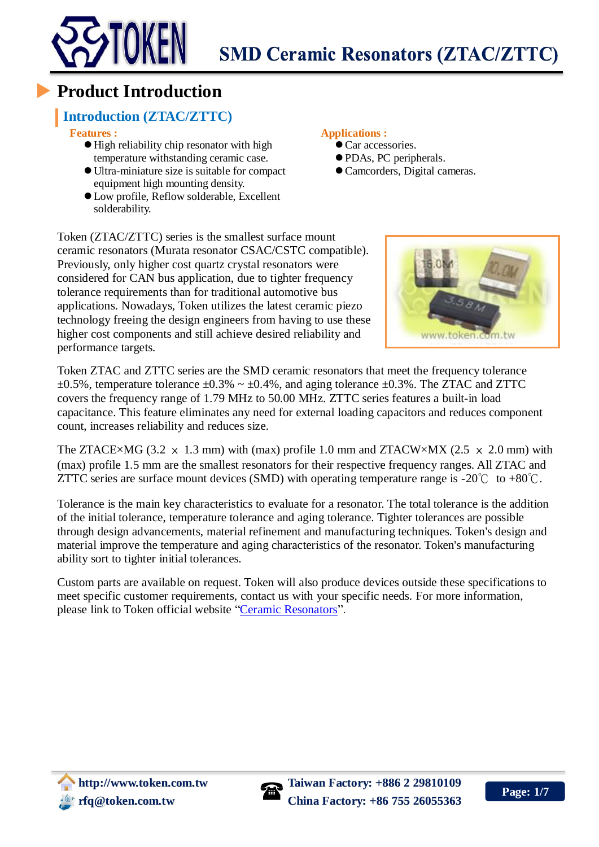

### **Product Introduction**

### **Introduction (ZTAC/ZTTC)**

**Features :**

- $\bullet$  High reliability chip resonator with high temperature withstanding ceramic case.
- Ultra-miniature size is suitable for compact equipment high mounting density.
- Low profile, Reflow solderable, Excellent solderability.

#### **Applications :**

- $\bullet$  Car accessories.
- PDAs, PC peripherals.
- Camcorders, Digital cameras.

Token (ZTAC/ZTTC) series is the smallest surface mount ceramic resonators (Murata resonator CSAC/CSTC compatible). Previously, only higher cost quartz crystal resonators were considered for CAN bus application, due to tighter frequency tolerance requirements than for traditional automotive bus applications. Nowadays, Token utilizes the latest ceramic piezo technology freeing the design engineers from having to use these higher cost components and still achieve desired reliability and performance targets.

Token ZTAC and ZTTC series are the SMD ceramic resonators that meet the frequency tolerance  $\pm 0.5$ %, temperature tolerance  $\pm 0.3$ % ~  $\pm 0.4$ %, and aging tolerance  $\pm 0.3$ %. The ZTAC and ZTTC covers the frequency range of 1.79 MHz to 50.00 MHz. ZTTC series features a built-in load capacitance. This feature eliminates any need for external loading capacitors and reduces component count, increases reliability and reduces size.

The ZTACE×MG (3.2  $\times$  1.3 mm) with (max) profile 1.0 mm and ZTACW×MX (2.5  $\times$  2.0 mm) with (max) profile 1.5 mm are the smallest resonators for their respective frequency ranges. All ZTAC and ZTTC series are surface mount devices (SMD) with operating temperature range is -20℃ to +80℃.

Tolerance is the main key characteristics to evaluate for a resonator. The total tolerance is the addition of the initial tolerance, temperature tolerance and aging tolerance. Tighter tolerances are possible through design advancements, material refinement and manufacturing techniques. Token's design and material improve the temperature and aging characteristics of the resonator. Token's manufacturing ability sort to tighter initial tolerances.

Custom parts are available on request. Token will also produce devices outside these specifications to meet specific customer requirements, contact us with your specific needs. For more information, please link to Token official website ["Ceramic Resonators"](http://www.token.com.tw/resonator/index.html).



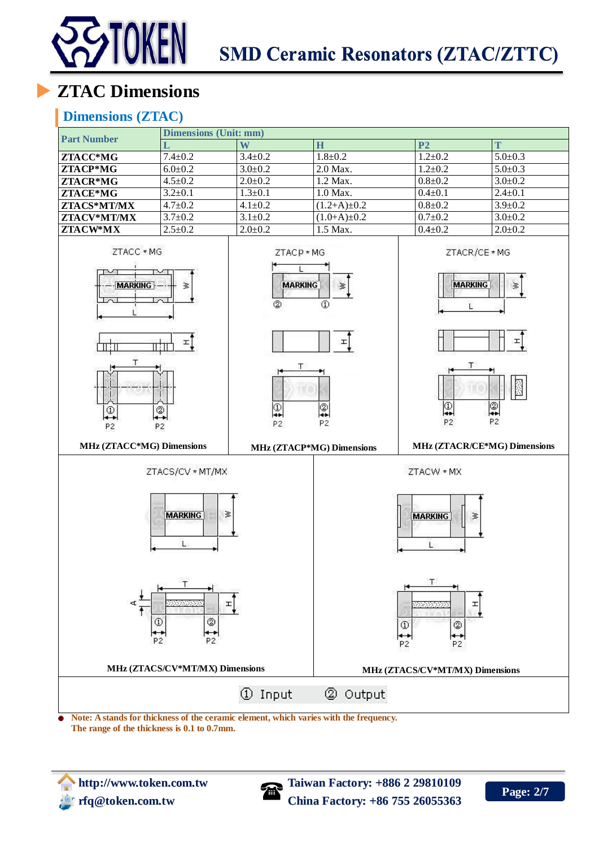

# **ZTAC Dimensions**

#### **Dimensions (ZTAC)**



**Note: A stands for thickness of the ceramic element, which varies with the frequency. The range of the thickness is 0.1 to 0.7mm.** 



**http:** Taiwan Factory: +886 2 29810109 **rfq@token.com.tw China Factory: +86 755 26055363**

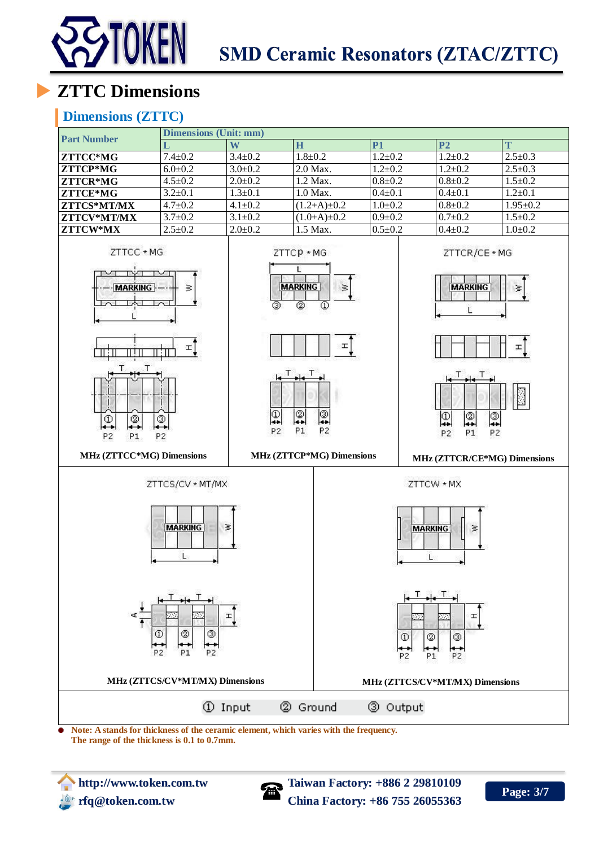

# **ZTTC Dimensions**

#### **Dimensions (ZTTC)**



**Note: A stands for thickness of the ceramic element, which varies with the frequency. The range of the thickness is 0.1 to 0.7mm.** 



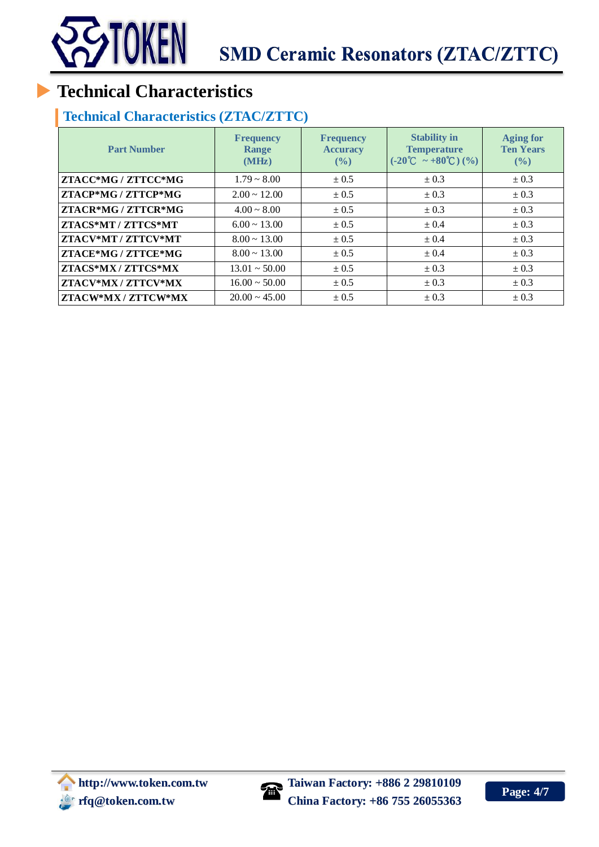

## **Technical Characteristics**

### **Technical Characteristics (ZTAC/ZTTC)**

| <b>Part Number</b>  | <b>Frequency</b><br>Range<br>(MHz) | <b>Frequency</b><br><b>Accuracy</b><br>$($ %) | <b>Stability in</b><br><b>Temperature</b><br>$(-20^{\circ}\text{C} \sim +80^{\circ}\text{C})$ (%) | <b>Aging for</b><br><b>Ten Years</b><br>(9/0) |
|---------------------|------------------------------------|-----------------------------------------------|---------------------------------------------------------------------------------------------------|-----------------------------------------------|
| ZTACC*MG / ZTTCC*MG | $1.79 \sim 8.00$                   | ± 0.5                                         | $\pm 0.3$                                                                                         | ± 0.3                                         |
| ZTACP*MG / ZTTCP*MG | $2.00 \sim 12.00$                  | ± 0.5                                         | $\pm 0.3$                                                                                         | ± 0.3                                         |
| ZTACR*MG / ZTTCR*MG | $4.00 \sim 8.00$                   | ± 0.5                                         | $\pm 0.3$                                                                                         | $\pm 0.3$                                     |
| ZTACS*MT / ZTTCS*MT | $6.00 \sim 13.00$                  | ± 0.5                                         | ± 0.4                                                                                             | ± 0.3                                         |
| ZTACV*MT / ZTTCV*MT | $8.00 \sim 13.00$                  | ± 0.5                                         | ± 0.4                                                                                             | $\pm 0.3$                                     |
| ZTACE*MG / ZTTCE*MG | $8.00 \sim 13.00$                  | ± 0.5                                         | ± 0.4                                                                                             | $\pm 0.3$                                     |
| ZTACS*MX / ZTTCS*MX | $13.01 \sim 50.00$                 | $\pm 0.5$                                     | $\pm 0.3$                                                                                         | $\pm 0.3$                                     |
| ZTACV*MX / ZTTCV*MX | $16.00 \sim 50.00$                 | ± 0.5                                         | $\pm 0.3$                                                                                         | $\pm 0.3$                                     |
| ZTACW*MX / ZTTCW*MX | $20.00 \sim 45.00$                 | ± 0.5                                         | $\pm 0.3$                                                                                         | $\pm 0.3$                                     |

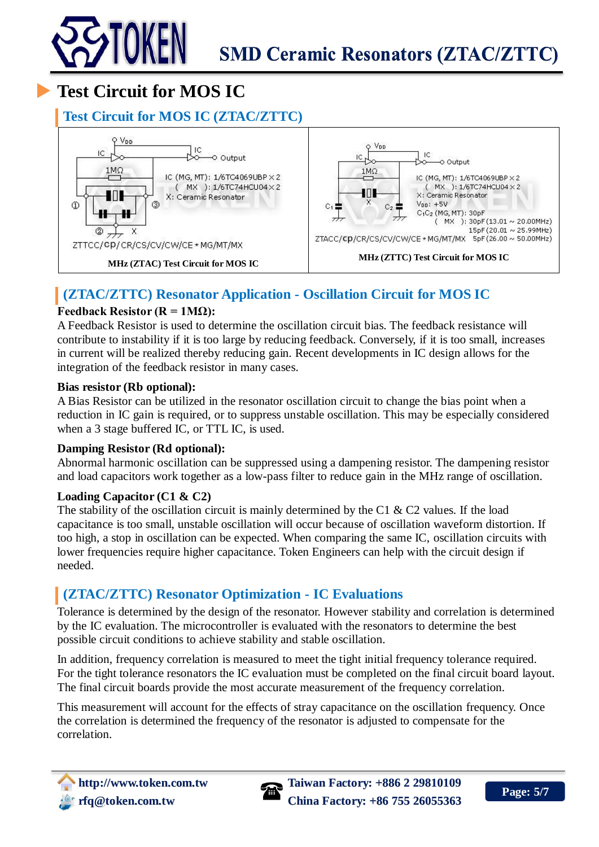

# **Test Circuit for MOS IC**

#### **Test Circuit for MOS IC (ZTAC/ZTTC)**



### **(ZTAC/ZTTC) Resonator Application - Oscillation Circuit for MOS IC**

#### **Feedback Resistor (** $R = 1M\Omega$ **):**

A Feedback Resistor is used to determine the oscillation circuit bias. The feedback resistance will contribute to instability if it is too large by reducing feedback. Conversely, if it is too small, increases in current will be realized thereby reducing gain. Recent developments in IC design allows for the integration of the feedback resistor in many cases.

#### **Bias resistor (Rb optional):**

A Bias Resistor can be utilized in the resonator oscillation circuit to change the bias point when a reduction in IC gain is required, or to suppress unstable oscillation. This may be especially considered when a 3 stage buffered IC, or TTL IC, is used.

#### **Damping Resistor (Rd optional):**

Abnormal harmonic oscillation can be suppressed using a dampening resistor. The dampening resistor and load capacitors work together as a low-pass filter to reduce gain in the MHz range of oscillation.

#### **Loading Capacitor (C1 & C2)**

The stability of the oscillation circuit is mainly determined by the C1  $\&$  C2 values. If the load capacitance is too small, unstable oscillation will occur because of oscillation waveform distortion. If too high, a stop in oscillation can be expected. When comparing the same IC, oscillation circuits with lower frequencies require higher capacitance. Token Engineers can help with the circuit design if needed.

#### **(ZTAC/ZTTC) Resonator Optimization - IC Evaluations**

Tolerance is determined by the design of the resonator. However stability and correlation is determined by the IC evaluation. The microcontroller is evaluated with the resonators to determine the best possible circuit conditions to achieve stability and stable oscillation.

In addition, frequency correlation is measured to meet the tight initial frequency tolerance required. For the tight tolerance resonators the IC evaluation must be completed on the final circuit board layout. The final circuit boards provide the most accurate measurement of the frequency correlation.

This measurement will account for the effects of stray capacitance on the oscillation frequency. Once the correlation is determined the frequency of the resonator is adjusted to compensate for the correlation.



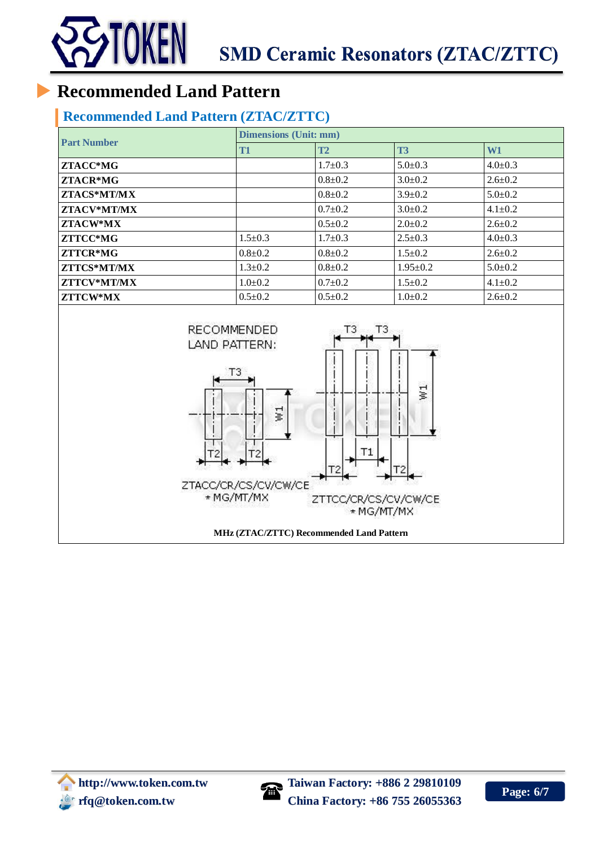

## **Recommended Land Pattern**

### **Recommended Land Pattern (ZTAC/ZTTC)**

| <b>Part Number</b> | <b>Dimensions (Unit: mm)</b> |               |                |               |  |
|--------------------|------------------------------|---------------|----------------|---------------|--|
|                    | T <sub>1</sub>               | <b>T2</b>     | T <sub>3</sub> | W1            |  |
| ZTACC*MG           |                              | $1.7 \pm 0.3$ | $5.0 \pm 0.3$  | $4.0 \pm 0.3$ |  |
| $ZTACR*MG$         |                              | $0.8 \pm 0.2$ | $3.0 \pm 0.2$  | $2.6 \pm 0.2$ |  |
| ZTACS*MT/MX        |                              | $0.8 \pm 0.2$ | $3.9 \pm 0.2$  | $5.0 \pm 0.2$ |  |
| ZTACV*MT/MX        |                              | $0.7 \pm 0.2$ | $3.0 \pm 0.2$  | $4.1 \pm 0.2$ |  |
| ZTACW*MX           |                              | $0.5 \pm 0.2$ | $2.0 \pm 0.2$  | $2.6 \pm 0.2$ |  |
| ZTTCC*MG           | $1.5 \pm 0.3$                | $1.7 \pm 0.3$ | $2.5 \pm 0.3$  | $4.0 \pm 0.3$ |  |
| ZTTCR*MG           | $0.8 \pm 0.2$                | $0.8 \pm 0.2$ | $1.5 \pm 0.2$  | $2.6 \pm 0.2$ |  |
| ZTTCS*MT/MX        | $1.3 \pm 0.2$                | $0.8 \pm 0.2$ | $1.95 \pm 0.2$ | $5.0 \pm 0.2$ |  |
| ZTTCV*MT/MX        | $1.0 \pm 0.2$                | $0.7 \pm 0.2$ | $1.5 \pm 0.2$  | $4.1 \pm 0.2$ |  |
| ZTTCW*MX           | $0.5 \pm 0.2$                | $0.5 \pm 0.2$ | $1.0 \pm 0.2$  | $2.6 \pm 0.2$ |  |